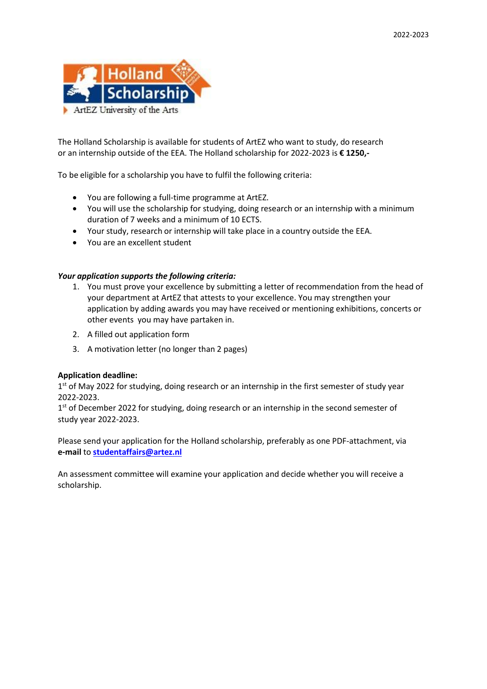

The Holland Scholarship is available for students of ArtEZ who want to study, do research or an internship outside of the EEA. The Holland scholarship for 2022-2023 is **€ 1250,-**

To be eligible for a scholarship you have to fulfil the following criteria:

- You are following a full-time programme at ArtEZ.
- You will use the scholarship for studying, doing research or an internship with a minimum duration of 7 weeks and a minimum of 10 ECTS.
- Your study, research or internship will take place in a country outside the EEA.
- You are an excellent student

## *Your application supports the following criteria:*

- 1. You must prove your excellence by submitting a letter of recommendation from the head of your department at ArtEZ that attests to your excellence. You may strengthen your application by adding awards you may have received or mentioning exhibitions, concerts or other events you may have partaken in.
- 2. A filled out application form
- 3. A motivation letter (no longer than 2 pages)

## **Application deadline:**

1<sup>st</sup> of May 2022 for studying, doing research or an internship in the first semester of study year 2022-2023.

1<sup>st</sup> of December 2022 for studying, doing research or an internship in the second semester of study year 2022-2023.

Please send your application for the Holland scholarship, preferably as one PDF-attachment, via **e-mail** to **[studentaffairs@](mailto:scholarship@artez.nl)artez.nl**

An assessment committee will examine your application and decide whether you will receive a scholarship.